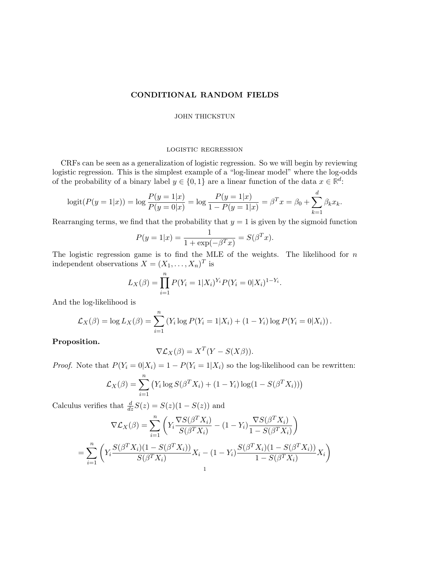# CONDITIONAL RANDOM FIELDS

## JOHN THICKSTUN

## logistic regression

CRFs can be seen as a generalization of logistic regression. So we will begin by reviewing logistic regression. This is the simplest example of a "log-linear model" where the log-odds of the probability of a binary label  $y \in \{0, 1\}$  are a linear function of the data  $x \in \mathbb{R}^d$ .

$$
logit(P(y = 1|x)) = log \frac{P(y = 1|x)}{P(y = 0|x)} = log \frac{P(y = 1|x)}{1 - P(y = 1|x)} = \beta^T x = \beta_0 + \sum_{k=1}^d \beta_k x_k.
$$

Rearranging terms, we find that the probability that  $y = 1$  is given by the sigmoid function

$$
P(y = 1|x) = \frac{1}{1 + \exp(-\beta^T x)} = S(\beta^T x).
$$

The logistic regression game is to find the MLE of the weights. The likelihood for  $n$ independent observations  $X = (X_1, \ldots, X_n)^T$  is

$$
L_X(\beta) = \prod_{i=1}^n P(Y_i = 1 | X_i)^{Y_i} P(Y_i = 0 | X_i)^{1 - Y_i}.
$$

And the log-likelihood is

$$
\mathcal{L}_X(\beta) = \log L_X(\beta) = \sum_{i=1}^n (Y_i \log P(Y_i = 1 | X_i) + (1 - Y_i) \log P(Y_i = 0 | X_i)).
$$

Proposition.

$$
\nabla \mathcal{L}_X(\beta) = X^T (Y - S(X\beta)).
$$

*Proof.* Note that  $P(Y_i = 0 | X_i) = 1 - P(Y_i = 1 | X_i)$  so the log-likelihood can be rewritten:

$$
\mathcal{L}_X(\beta) = \sum_{i=1}^n \left( Y_i \log S(\beta^T X_i) + (1 - Y_i) \log(1 - S(\beta^T X_i)) \right)
$$

Calculus verifies that  $\frac{d}{dz}S(z) = S(z)(1 - S(z))$  and

$$
\nabla \mathcal{L}_X(\beta) = \sum_{i=1}^n \left( Y_i \frac{\nabla S(\beta^T X_i)}{S(\beta^T X_i)} - (1 - Y_i) \frac{\nabla S(\beta^T X_i)}{1 - S(\beta^T X_i)} \right)
$$
  
= 
$$
\sum_{i=1}^n \left( Y_i \frac{S(\beta^T X_i)(1 - S(\beta^T X_i))}{S(\beta^T X_i)} X_i - (1 - Y_i) \frac{S(\beta^T X_i)(1 - S(\beta^T X_i))}{1 - S(\beta^T X_i)} X_i \right)
$$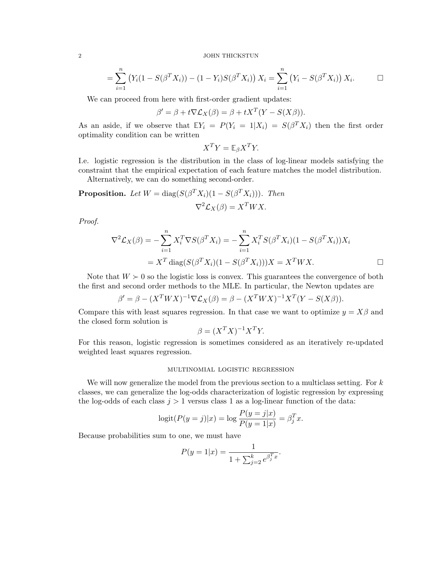2 JOHN THICKSTUN

$$
= \sum_{i=1}^{n} (Y_i(1 - S(\beta^T X_i)) - (1 - Y_i)S(\beta^T X_i)) X_i = \sum_{i=1}^{n} (Y_i - S(\beta^T X_i)) X_i.
$$

We can proceed from here with first-order gradient updates:

$$
\beta' = \beta + t \nabla \mathcal{L}_X(\beta) = \beta + t X^T (Y - S(X\beta)).
$$

As an aside, if we observe that  $\mathbb{E}Y_i = P(Y_i = 1 | X_i) = S(\beta^T X_i)$  then the first order optimality condition can be written

$$
X^T Y = \mathbb{E}_{\beta} X^T Y.
$$

I.e. logistic regression is the distribution in the class of log-linear models satisfying the constraint that the empirical expectation of each feature matches the model distribution.

Alternatively, we can do something second-order.

**Proposition.** Let 
$$
W = \text{diag}(S(\beta^T X_i)(1 - S(\beta^T X_i)))
$$
. Then  

$$
\nabla^2 \mathcal{L}_X(\beta) = X^T W X.
$$

Proof.

$$
\nabla^2 \mathcal{L}_X(\beta) = -\sum_{i=1}^n X_i^T \nabla S(\beta^T X_i) = -\sum_{i=1}^n X_i^T S(\beta^T X_i)(1 - S(\beta^T X_i))X_i
$$
  
=  $X^T \operatorname{diag}(S(\beta^T X_i)(1 - S(\beta^T X_i)))X = X^T W X.$ 

Note that  $W \succ 0$  so the logistic loss is convex. This guarantees the convergence of both the first and second order methods to the MLE. In particular, the Newton updates are

$$
\beta' = \beta - (X^T W X)^{-1} \nabla \mathcal{L}_X(\beta) = \beta - (X^T W X)^{-1} X^T (Y - S(X\beta)).
$$

Compare this with least squares regression. In that case we want to optimize  $y = X\beta$  and the closed form solution is

$$
\beta = (X^T X)^{-1} X^T Y.
$$

For this reason, logistic regression is sometimes considered as an iteratively re-updated weighted least squares regression.

## multinomial logistic regression

We will now generalize the model from the previous section to a multiclass setting. For  $k$ classes, we can generalize the log-odds characterization of logistic regression by expressing the log-odds of each class  $j > 1$  versus class 1 as a log-linear function of the data:

$$
logit(P(y = j)|x) = log \frac{P(y = j|x)}{P(y = 1|x)} = \beta_j^T x.
$$

Because probabilities sum to one, we must have

$$
P(y = 1|x) = \frac{1}{1 + \sum_{j=2}^{k} e^{\beta_j^T x}}.
$$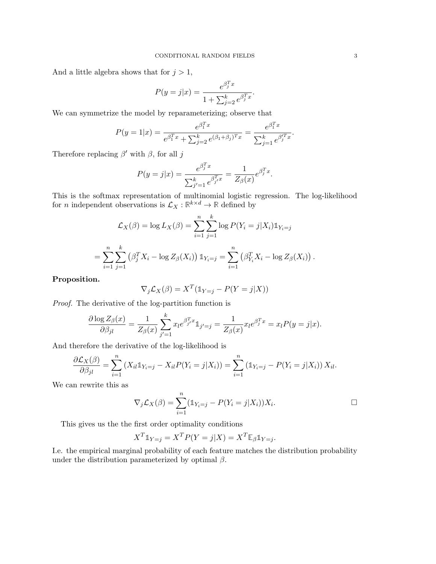And a little algebra shows that for  $j > 1$ ,

$$
P(y = j|x) = \frac{e^{\beta_j^T x}}{1 + \sum_{j=2}^k e^{\beta_j^T x}}.
$$

We can symmetrize the model by reparameterizing; observe that

$$
P(y = 1|x) = \frac{e^{\beta_1^T x}}{e^{\beta_1^T x} + \sum_{j=2}^k e^{(\beta_1 + \beta_j)^T x}} = \frac{e^{\beta_1^T x}}{\sum_{j=1}^k e^{\beta_j^T x}}.
$$

Therefore replacing  $\beta'$  with  $\beta$ , for all j

$$
P(y = j|x) = \frac{e^{\beta_j^T x}}{\sum_{j'=1}^k e^{\beta_{j'}^T x}} = \frac{1}{Z_{\beta}(x)} e^{\beta_j^T x}.
$$

This is the softmax representation of multinomial logistic regression. The log-likelihood for *n* independent observations is  $\mathcal{L}_X : \mathbb{R}^{k \times d} \to \mathbb{R}$  defined by

$$
\mathcal{L}_X(\beta) = \log L_X(\beta) = \sum_{i=1}^n \sum_{j=1}^k \log P(Y_i = j | X_i) \mathbb{1}_{Y_i = j}
$$
  
= 
$$
\sum_{i=1}^n \sum_{j=1}^k (\beta_j^T X_i - \log Z_\beta(X_i)) \mathbb{1}_{Y_i = j} = \sum_{i=1}^n (\beta_{Y_i}^T X_i - \log Z_\beta(X_i)).
$$

Proposition.

$$
\nabla_j \mathcal{L}_X(\beta) = X^T (\mathbb{1}_{Y=j} - P(Y=j|X))
$$

Proof. The derivative of the log-partition function is

 $\lambda$ 

$$
\frac{\partial \log Z_{\beta}(x)}{\partial \beta_{jl}} = \frac{1}{Z_{\beta}(x)} \sum_{j'=1}^{k} x_l e^{\beta_{j'}^T x} 1_{j'=j} = \frac{1}{Z_{\beta}(x)} x_l e^{\beta_j^T x} = x_l P(y=j|x).
$$

And therefore the derivative of the log-likelihood is

$$
\frac{\partial \mathcal{L}_X(\beta)}{\partial \beta_{jl}} = \sum_{i=1}^n (X_{il} \mathbb{1}_{Y_i = j} - X_{il} P(Y_i = j | X_i)) = \sum_{i=1}^n (\mathbb{1}_{Y_i = j} - P(Y_i = j | X_i)) X_{il}.
$$

We can rewrite this as

$$
\nabla_j \mathcal{L}_X(\beta) = \sum_{i=1}^n (\mathbb{1}_{Y_i=j} - P(Y_i = j | X_i)) X_i.
$$

This gives us the the first order optimality conditions

$$
X^T \mathbb{1}_{Y=j} = X^T P(Y=j|X) = X^T \mathbb{E}_{\beta} \mathbb{1}_{Y=j}.
$$

I.e. the empirical marginal probability of each feature matches the distribution probability under the distribution parameterized by optimal  $\beta$ .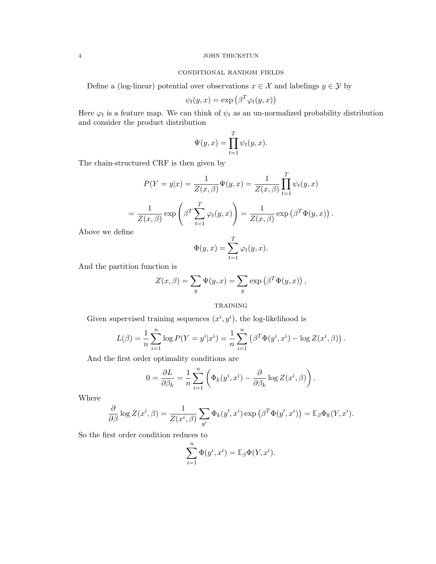# 4 JOHN THICKSTUN

# conditional random fields

Define a (log-linear) potential over observations  $x \in \mathcal{X}$  and labelings  $y \in \mathcal{Y}$  by

$$
\psi_t(y, x) = \exp\left(\beta^T \varphi_t(y, x)\right)
$$

Here  $\varphi_t$  is a feature map. We can think of  $\psi_t$  as an un-normalized probability distribution and consider the product distribution

$$
\Psi(y,x) = \prod_{t=1}^{T} \psi_t(y,x).
$$

The chain-structured CRF is then given by

$$
P(Y = y|x) = \frac{1}{Z(x, \beta)} \Psi(y, x) = \frac{1}{Z(x, \beta)} \prod_{t=1}^{T} \psi_t(y, x)
$$

$$
= \frac{1}{Z(x, \beta)} \exp \left( \beta^T \sum_{t=1}^{T} \varphi_t(y, x) \right) = \frac{1}{Z(x, \beta)} \exp \left( \beta^T \Phi(y, x) \right).
$$

Above we define

$$
\Phi(y, x) = \sum_{t=1}^{T} \varphi_t(y, x).
$$

And the partition function is

$$
Z(x, \beta) = \sum_{y} \Psi(y, x) = \sum_{y} \exp(\beta^T \Phi(y, x)),
$$

**TRAINING** 

Given supervised training sequences  $(x^i, y^i)$ , the log-likelihood is

$$
L(\beta) = \frac{1}{n} \sum_{i=1}^{n} \log P(Y = y^{i} | x^{i}) = \frac{1}{n} \sum_{i=1}^{n} (\beta^{T} \Phi(y^{i}, x^{i}) - \log Z(x^{i}, \beta)).
$$

And the first order optimality conditions are

$$
0 = \frac{\partial L}{\partial \beta_k} = \frac{1}{n} \sum_{i=1}^n \left( \Phi_k(y^i, x^i) - \frac{\partial}{\partial \beta_k} \log Z(x^i, \beta) \right).
$$

Where

$$
\frac{\partial}{\partial \beta} \log Z(x^i, \beta) = \frac{1}{Z(x^i, \beta)} \sum_{y'} \Phi_k(y', x^i) \exp \left( \beta^T \Phi(y', x^i) \right) = \mathbb{E}_{\beta} \Phi_k(Y, x^i).
$$

So the first order condition reduces to

$$
\sum_{i=1}^{n} \Phi(y^i, x^i) = \mathbb{E}_{\beta} \Phi(Y, x^i).
$$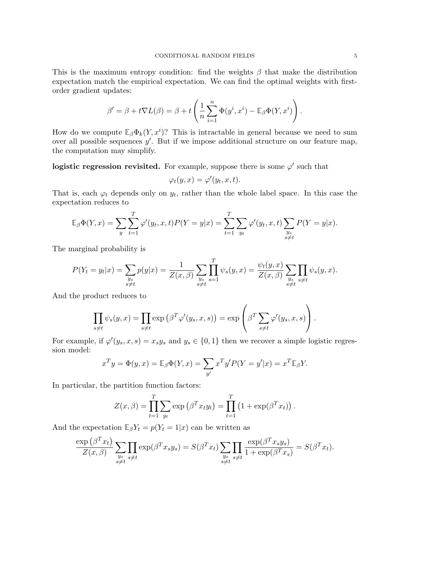This is the maximum entropy condition: find the weights  $\beta$  that make the distribution expectation match the empirical expectation. We can find the optimal weights with firstorder gradient updates:

$$
\beta' = \beta + t \nabla L(\beta) = \beta + t \left( \frac{1}{n} \sum_{i=1}^n \Phi(y^i, x^i) - \mathbb{E}_{\beta} \Phi(Y, x^i) \right).
$$

How do we compute  $\mathbb{E}_{\beta} \Phi_k(Y, x^i)$ ? This is intractable in general because we need to sum over all possible sequences  $y'$ . But if we impose additional structure on our feature map, the computation may simplify.

logistic regression revisited. For example, suppose there is some  $\varphi'$  such that

$$
\varphi_t(y,x) = \varphi'(y_t,x,t).
$$

That is, each  $\varphi_t$  depends only on  $y_t$ , rather than the whole label space. In this case the expectation reduces to

$$
\mathbb{E}_{\beta}\Phi(Y,x) = \sum_{y}\sum_{t=1}^{T}\varphi'(y_t,x,t)P(Y=y|x) = \sum_{t=1}^{T}\sum_{y_t}\varphi'(y_t,x,t)\sum_{\substack{y_s\\s\neq t}}P(Y=y|x).
$$

The marginal probability is

$$
P(Y_t = y_t|x) = \sum_{\substack{y_s \\ s \neq t}} p(y|x) = \frac{1}{Z(x,\beta)} \sum_{\substack{y_s \\ s \neq t}} \prod_{s=1}^T \psi_s(y,x) = \frac{\psi_t(y,x)}{Z(x,\beta)} \sum_{\substack{y_s \\ s \neq t}} \prod_{s \neq t} \psi_s(y,x).
$$

And the product reduces to

$$
\prod_{s \neq t} \psi_s(y, x) = \prod_{s \neq t} \exp \left( \beta^T \varphi'(y_s, x, s) \right) = \exp \left( \beta^T \sum_{s \neq t} \varphi'(y_s, x, s) \right).
$$

For example, if  $\varphi'(y_s, x, s) = x_s y_s$  and  $y_s \in \{0, 1\}$  then we recover a simple logistic regression model:

$$
x^T y = \Phi(y, x) = \mathbb{E}_{\beta} \Phi(Y, x) = \sum_{y'} x^T y' P(Y = y'|x) = x^T \mathbb{E}_{\beta} Y.
$$

In particular, the partition function factors:

$$
Z(x,\beta) = \prod_{t=1}^{T} \sum_{y_t} \exp\left(\beta^T x_t y_t\right) = \prod_{t=1}^{T} \left(1 + \exp(\beta^T x_t)\right).
$$

And the expectation  $\mathbb{E}_{\beta}Y_t = p(Y_t = 1|x)$  can be written as

$$
\frac{\exp(\beta^{T}x_{t})}{Z(x,\beta)}\sum_{\substack{y_{s} \\ s \neq t}} \prod_{s \neq t} \exp(\beta^{T}x_{s}y_{s}) = S(\beta^{T}x_{t})\sum_{\substack{y_{s} \\ s \neq t}} \prod_{s \neq t} \frac{\exp(\beta^{T}x_{s}y_{s})}{1 + \exp(\beta^{T}x_{s})} = S(\beta^{T}x_{t}).
$$